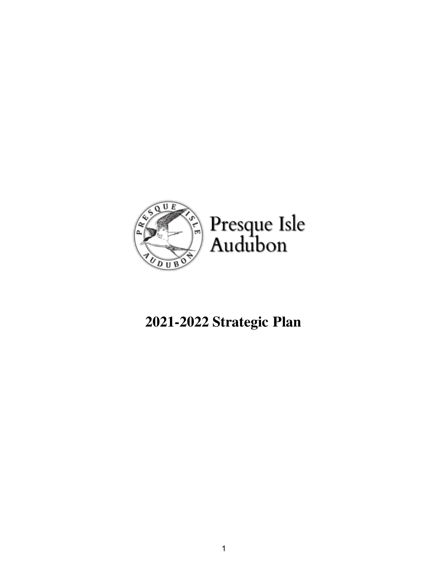

### **2021-2022 Strategic Plan**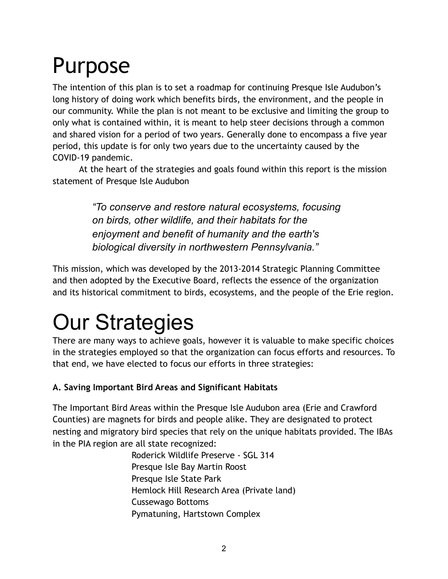# Purpose

The intention of this plan is to set a roadmap for continuing Presque Isle Audubon's long history of doing work which benefits birds, the environment, and the people in our community. While the plan is not meant to be exclusive and limiting the group to only what is contained within, it is meant to help steer decisions through a common and shared vision for a period of two years. Generally done to encompass a five year period, this update is for only two years due to the uncertainty caused by the COVID-19 pandemic.

At the heart of the strategies and goals found within this report is the mission statement of Presque Isle Audubon

> *"To conserve and restore natural ecosystems, focusing on birds, other wildlife, and their habitats for the enjoyment and benefit of humanity and the earth's biological diversity in northwestern Pennsylvania."*

This mission, which was developed by the 2013-2014 Strategic Planning Committee and then adopted by the Executive Board, reflects the essence of the organization and its historical commitment to birds, ecosystems, and the people of the Erie region.

# Our Strategies

There are many ways to achieve goals, however it is valuable to make specific choices in the strategies employed so that the organization can focus efforts and resources. To that end, we have elected to focus our efforts in three strategies:

### **A. Saving Important Bird Areas and Significant Habitats**

The Important Bird Areas within the Presque Isle Audubon area (Erie and Crawford Counties) are magnets for birds and people alike. They are designated to protect nesting and migratory bird species that rely on the unique habitats provided. The IBAs in the PIA region are all state recognized:

Roderick Wildlife Preserve - SGL 314 Presque Isle Bay Martin Roost Presque Isle State Park Hemlock Hill Research Area (Private land) Cussewago Bottoms Pymatuning, Hartstown Complex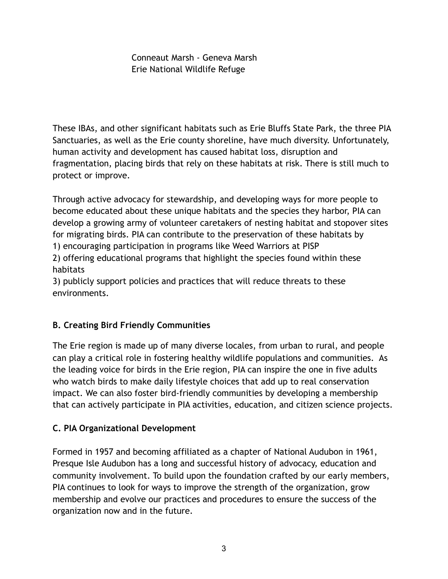Conneaut Marsh - Geneva Marsh Erie National Wildlife Refuge

These IBAs, and other significant habitats such as Erie Bluffs State Park, the three PIA Sanctuaries, as well as the Erie county shoreline, have much diversity. Unfortunately, human activity and development has caused habitat loss, disruption and fragmentation, placing birds that rely on these habitats at risk. There is still much to protect or improve.

Through active advocacy for stewardship, and developing ways for more people to become educated about these unique habitats and the species they harbor, PIA can develop a growing army of volunteer caretakers of nesting habitat and stopover sites for migrating birds. PIA can contribute to the preservation of these habitats by 1) encouraging participation in programs like Weed Warriors at PISP 2) offering educational programs that highlight the species found within these habitats

3) publicly support policies and practices that will reduce threats to these environments.

### **B. Creating Bird Friendly Communities**

The Erie region is made up of many diverse locales, from urban to rural, and people can play a critical role in fostering healthy wildlife populations and communities. As the leading voice for birds in the Erie region, PIA can inspire the one in five adults who watch birds to make daily lifestyle choices that add up to real conservation impact. We can also foster bird-friendly communities by developing a membership that can actively participate in PIA activities, education, and citizen science projects.

### **C. PIA Organizational Development**

Formed in 1957 and becoming affiliated as a chapter of National Audubon in 1961, Presque Isle Audubon has a long and successful history of advocacy, education and community involvement. To build upon the foundation crafted by our early members, PIA continues to look for ways to improve the strength of the organization, grow membership and evolve our practices and procedures to ensure the success of the organization now and in the future.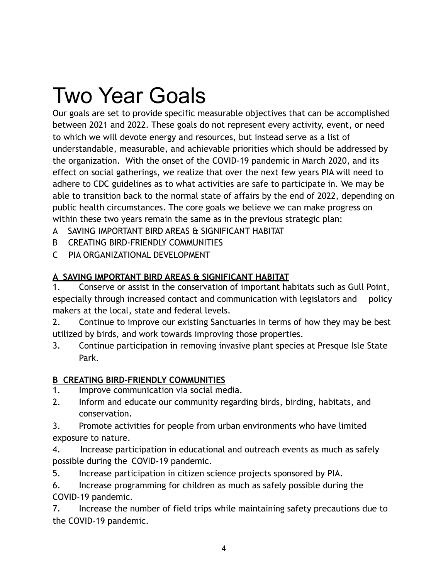## Two Year Goals

Our goals are set to provide specific measurable objectives that can be accomplished between 2021 and 2022. These goals do not represent every activity, event, or need to which we will devote energy and resources, but instead serve as a list of understandable, measurable, and achievable priorities which should be addressed by the organization. With the onset of the COVID-19 pandemic in March 2020, and its effect on social gatherings, we realize that over the next few years PIA will need to adhere to CDC guidelines as to what activities are safe to participate in. We may be able to transition back to the normal state of affairs by the end of 2022, depending on public health circumstances. The core goals we believe we can make progress on within these two years remain the same as in the previous strategic plan:

- A SAVING IMPORTANT BIRD AREAS & SIGNIFICANT HABITAT
- B CREATING BIRD-FRIENDLY COMMUNITIES
- C PIA ORGANIZATIONAL DEVELOPMENT

### **A SAVING IMPORTANT BIRD AREAS & SIGNIFICANT HABITAT**

1. Conserve or assist in the conservation of important habitats such as Gull Point, especially through increased contact and communication with legislators and policy makers at the local, state and federal levels.

2. Continue to improve our existing Sanctuaries in terms of how they may be best utilized by birds, and work towards improving those properties.

3. Continue participation in removing invasive plant species at Presque Isle State Park.

### **B CREATING BIRD-FRIENDLY COMMUNITIES**

- 1. Improve communication via social media.
- 2. Inform and educate our community regarding birds, birding, habitats, and conservation.

3. Promote activities for people from urban environments who have limited exposure to nature.

4. Increase participation in educational and outreach events as much as safely possible during the COVID-19 pandemic.

5. Increase participation in citizen science projects sponsored by PIA.

6. Increase programming for children as much as safely possible during the COVID-19 pandemic.

7. Increase the number of field trips while maintaining safety precautions due to the COVID-19 pandemic.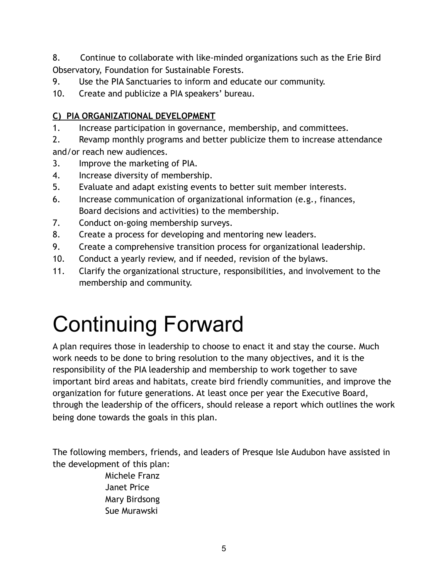8. Continue to collaborate with like-minded organizations such as the Erie Bird Observatory, Foundation for Sustainable Forests.

- 9. Use the PIA Sanctuaries to inform and educate our community.
- 10. Create and publicize a PIA speakers' bureau.

### **C) PIA ORGANIZATIONAL DEVELOPMENT**

- 1. Increase participation in governance, membership, and committees.
- 2. Revamp monthly programs and better publicize them to increase attendance and/or reach new audiences.
- 3. Improve the marketing of PIA.
- 4. Increase diversity of membership.
- 5. Evaluate and adapt existing events to better suit member interests.
- 6. Increase communication of organizational information (e.g., finances, Board decisions and activities) to the membership.
- 7. Conduct on-going membership surveys.
- 8. Create a process for developing and mentoring new leaders.
- 9. Create a comprehensive transition process for organizational leadership.
- 10. Conduct a yearly review, and if needed, revision of the bylaws.
- 11. Clarify the organizational structure, responsibilities, and involvement to the membership and community.

# Continuing Forward

A plan requires those in leadership to choose to enact it and stay the course. Much work needs to be done to bring resolution to the many objectives, and it is the responsibility of the PIA leadership and membership to work together to save important bird areas and habitats, create bird friendly communities, and improve the organization for future generations. At least once per year the Executive Board, through the leadership of the officers, should release a report which outlines the work being done towards the goals in this plan.

The following members, friends, and leaders of Presque Isle Audubon have assisted in the development of this plan:

Michele Franz Janet Price Mary Birdsong Sue Murawski